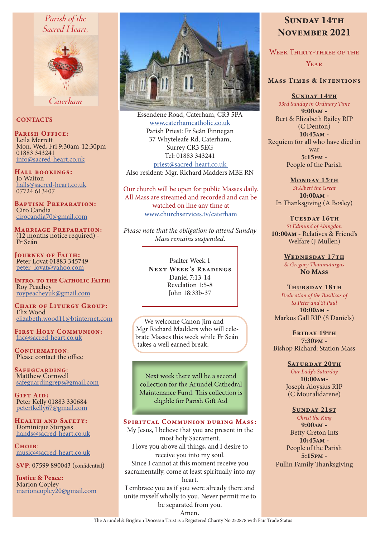## Parish of the Sacred Heart.



Caterham

#### **CONTACTS**

PARISH OFFICE:<br>Leila Merrett Leila Merrett Mon, Wed, Fri 9:30am-12:30pm 01883 343241 info@sacred-heart.co.uk

Hall bookings: Jo Waiton halls@sacred-heart.co.uk 07724 613407

Baptism Preparation: Ciro Candia cirocandia70@gmail.com

Marriage Preparation: (12 months notice required) - Fr Seán

Journey of Faith: Peter Lovat 01883 345749 peter\_lovat@yahoo.com

INTRO. TO THE CATHOLIC FAITH: Roy Peachey roypeacheyuk@gmail.com

CHAIR OF LITURGY GROUP: Eliz Wood elizabeth.wood11@btinternet.com

First Holy Communion: fhc@sacred-heart.co.uk

CONFIRMATION: Please contact the office

Safeguarding: Matthew Cornwell safeguardingreps@gmail.com

GIFT AID: Peter Kelly 01883 330684 peterfkelly67@gmail.com

Health and Safety: Dominique Sturgess hands@sacred-heart.co.uk

Choir<sup>.</sup> music@sacred-heart.co.uk

SVP: 07599 890043 (confidential)

Justice & Peace: Marion Copley marioncopley20@gmail.com



Essendene Road, Caterham, CR3 5PA www.caterhamcatholic.co.uk Parish Priest: Fr Seán Finnegan 37 Whyteleafe Rd, Caterham, Surrey CR3 5EG Tel: 01883 343241 priest@sacred-heart.co.uk Also resident: Mgr. Richard Madders MBE RN

Our church will be open for public Masses daily. All Mass are streamed and recorded and can be watched on line any time at www.churchservices.tv/caterham

*Please note that the obligation to attend Sunday Mass remains suspended.*

> Psalter Week 1 NEXT WEEK'S READINGS Daniel 7:13-14 Revelation 1:5-8 John 18:33b-37

We welcome Canon Jim and Mgr Richard Madders who will celebrate Masses this week while Fr Seán takes a well earned break.

Next week there will be a second collection for the Arundel Cathedral Maintenance Fund. This collection is eligible for Parish Gift Aid

#### SPIRITUAL COMMUNION DURING MASS:

My Jesus, I believe that you are present in the most holy Sacrament. I love you above all things, and I desire to receive you into my soul. Since I cannot at this moment receive you sacramentally, come at least spiritually into my heart.

I embrace you as if you were already there and unite myself wholly to you. Never permit me to be separated from you.

# SUNDAY 14TH November 2021

WEEK THIRTY-THREE OF THE

#### YEAR<sup>1</sup>

## Mass Times & Intentions

SUNDAY 14TH

*33rd Sunday in Ordinary Time*  $9:00AM -$ Bert & Elizabeth Bailey RIP (C Denton) 10:45am - Requiem for all who have died in war 5:15pm - People of the Parish

MONDAY 15TH *St Albert the Great* 10:00am - In Thanksgiving (A Bosley)

TUESDAY 16TH *St Edmund of Abingdon* 10:00am - Relatives & Friend's Welfare (J Mullen)

> WEDNESDAY 17TH *St Gregory Thaumaturgus* No Mass

THURSDAY 18TH *Dedication of the Basilicas of Ss Peter and St Paul* 10:00am - Markus Gall RIP (S Daniels)

FRIDAY 19TH 7:30pm - Bishop Richard: Station Mass

#### SATURDAY 20TH

*Our Lady's Saturday* 10:00am-Joseph Aloysius RIP (C Mouralidarene)

#### SUNDAY 21ST

*Christ the King* 9:00am - Betty Creton Ints 10:45am - People of the Parish 5:15pm - Pullin Family Thanksgiving

Amen.